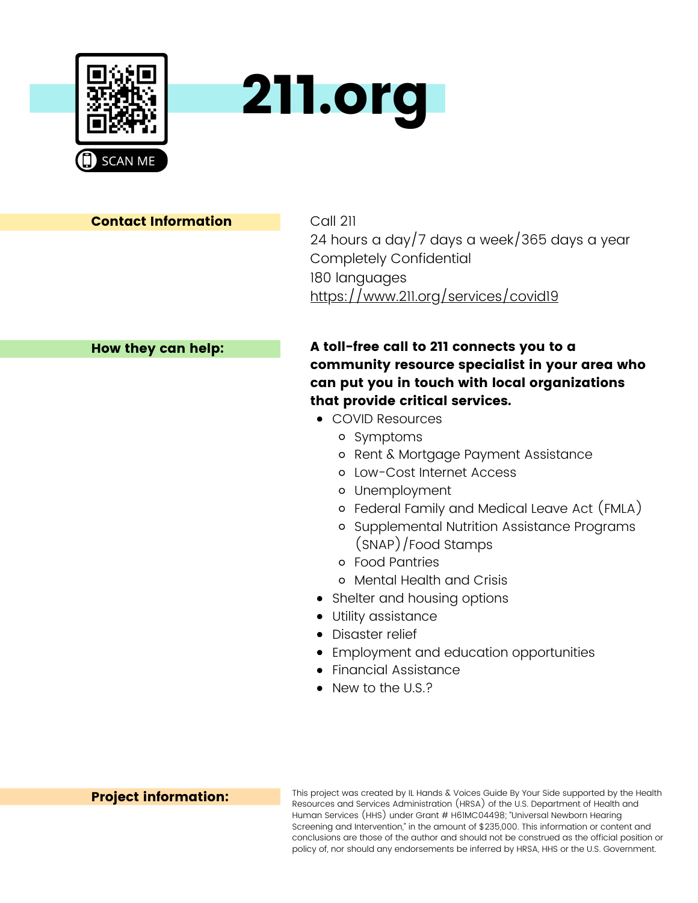



Call 211 24 hours a day/7 days a week/365 days a year Completely Confidential 180 languages <https://www.211.org/services/covid19>

#### How they can help:

# A toll-free call to 211 connects you to a community resource specialist in your area who can put you in touch with local organizations that provide critical services.

- COVID Resources
	- o Symptoms
	- o Rent & Mortgage Payment Assistance
	- Low-Cost Internet Access
	- Unemployment
	- Federal Family and Medical Leave Act (FMLA)
	- o Supplemental Nutrition Assistance Programs (SNAP)/Food Stamps
	- Food Pantries
	- Mental Health and Crisis
- Shelter and housing options
- Utility assistance
- Disaster relief
- Employment and education opportunities
- Financial Assistance
- New to the U.S.?

#### Project information:

This project was created by IL Hands & Voices Guide By Your Side supported by the Health Resources and Services Administration (HRSA) of the U.S. Department of Health and Human Services (HHS) under Grant # H61MC04498; "Universal Newborn Hearing Screening and Intervention," in the amount of \$235,000. This information or content and conclusions are those of the author and should not be construed as the official position or policy of, nor should any endorsements be inferred by HRSA, HHS or the U.S. Government.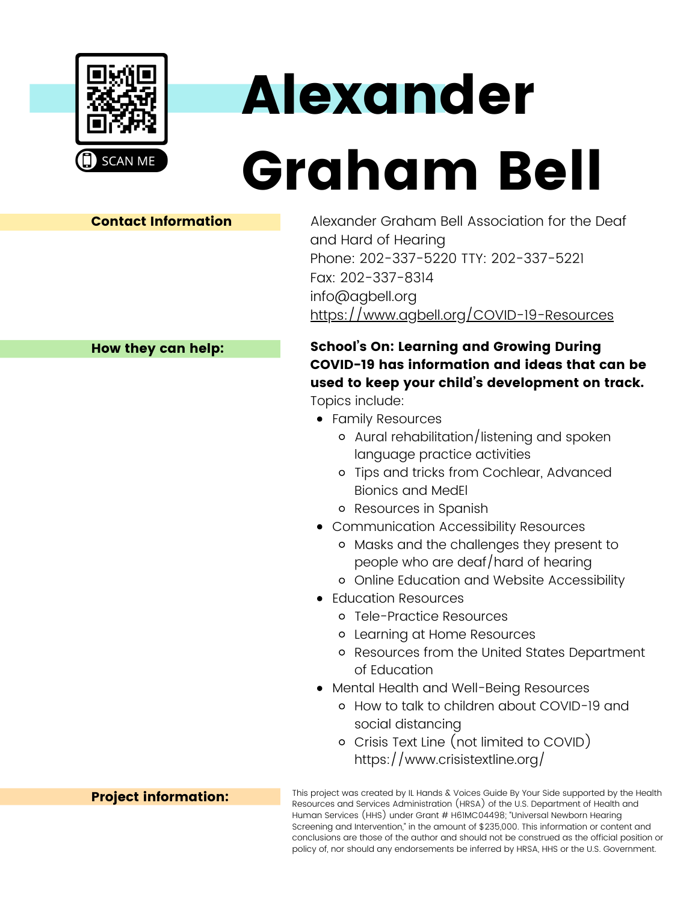

# Alexander

# Graham Bell

## Contact Information

Alexander Graham Bell Association for the Deaf and Hard of Hearing Phone: 202-337-5220 TTY: 202-337-5221 Fax: 202-337-8314 info@agbell.org <https://www.agbell.org/COVID-19-Resources>

# School's On: Learning and Growing During COVID-19 has information and ideas that can be used to keep your child's development on track.

Topics include:

- Family Resources
	- Aural rehabilitation/listening and spoken language practice activities
	- Tips and tricks from Cochlear, Advanced Bionics and MedEl
	- Resources in Spanish
- Communication Accessibility Resources
	- Masks and the challenges they present to people who are deaf/hard of hearing
	- Online Education and Website Accessibility
- Education Resources
	- Tele-Practice Resources
	- Learning at Home Resources
	- Resources from the United States Department of Education
- Mental Health and Well-Being Resources
	- How to talk to children about COVID-19 and social distancing
	- [Crisis](https://www.crisistextline.org/) Text Line (not limited to COVID) https://www.crisistextline.org/

This project was created by IL Hands & Voices Guide By Your Side supported by the Health Resources and Services Administration (HRSA) of the U.S. Department of Health and Human Services (HHS) under Grant # H61MC04498; "Universal Newborn Hearing Screening and Intervention," in the amount of \$235,000. This information or content and conclusions are those of the author and should not be construed as the official position or policy of, nor should any endorsements be inferred by HRSA, HHS or the U.S. Government.

# How they can help: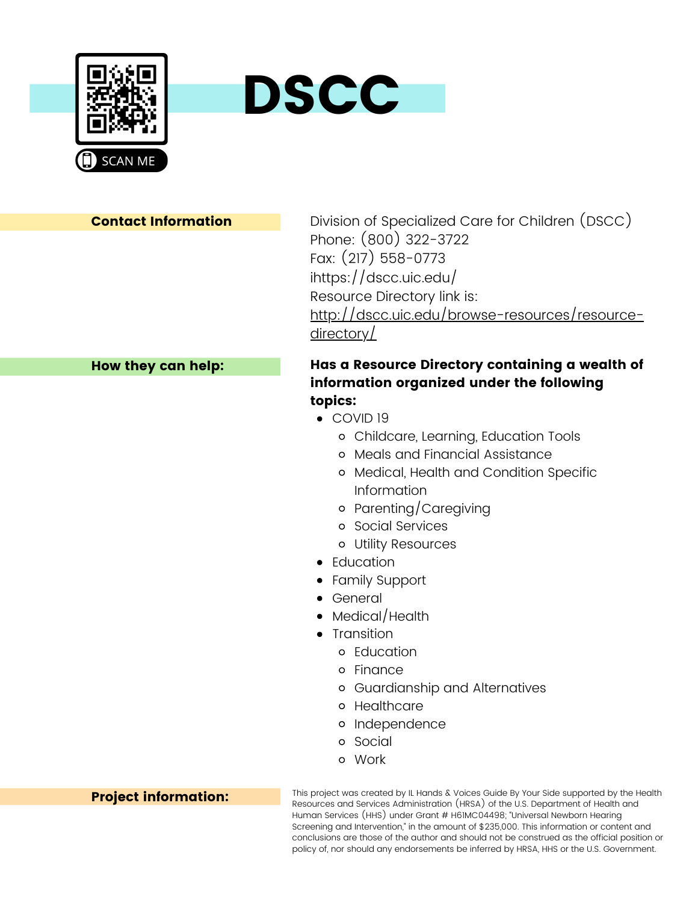



Division of Specialized Care for Children (DSCC) Phone: (800) 322-3722 Fax: (217) 558-0773 i<https://dscc.uic.edu/> Resource Directory link is: [http://dscc.uic.edu/browse-resources/resource](http://dscc.uic.edu/browse-resources/resource-directory/)directory/

#### How they can help:

# Has a Resource Directory containing a wealth of information organized under the following topics:

- COVID 19
	- Childcare, Learning, Education Tools
	- Meals and Financial Assistance
	- Medical, Health and Condition Specific Information
	- Parenting/Caregiving
	- Social Services
	- Utility Resources
- Education
- Family Support
- General
- Medical/Health
- Transition
	- o Education
	- Finance
	- Guardianship and Alternatives
	- o Healthcare
	- o Independence
	- Social
	- Work

This project was created by IL Hands & Voices Guide By Your Side supported by the Health Resources and Services Administration (HRSA) of the U.S. Department of Health and Human Services (HHS) under Grant # H61MC04498; "Universal Newborn Hearing Screening and Intervention," in the amount of \$235,000. This information or content and conclusions are those of the author and should not be construed as the official position or policy of, nor should any endorsements be inferred by HRSA, HHS or the U.S. Government.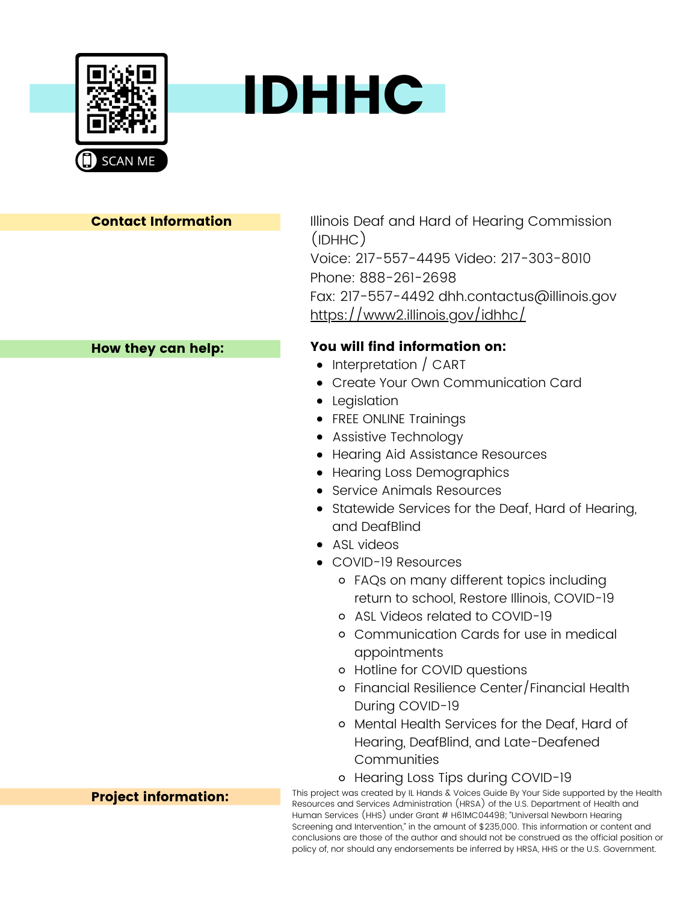



#### How they can help:

Illinois Deaf and Hard of Hearing Commission (IDHHC) Voice: 217-557-4495 Video: 217-303-8010 Phone: 888-261-2698 Fax: 217-557-4492 dhh.contactus@illinois.gov <https://www2.illinois.gov/idhhc/>

# You will find information on:

- Interpretation / CART
- Create Your Own Communication Card
- Legislation
- FREE ONLINE Trainings
- Assistive Technology
- Hearing Aid Assistance Resources
- Hearing Loss Demographics
- Service Animals Resources
- Statewide Services for the Deaf, Hard of Hearing, and DeafBlind
- ASL videos
- COVID-19 Resources
	- FAQs on many different topics including return to school, Restore Illinois, COVID-19
	- ASL Videos related to COVID-19
	- Communication Cards for use in medical appointments
	- Hotline for COVID questions
	- Financial Resilience Center/Financial Health During COVID-19
	- Mental Health Services for the Deaf, Hard of Hearing, DeafBlind, and Late-Deafened Communities
	- o Hearing Loss Tips during COVID-19

This project was created by IL Hands & Voices Guide By Your Side supported by the Health Resources and Services Administration (HRSA) of the U.S. Department of Health and Human Services (HHS) under Grant # H61MC04498; "Universal Newborn Hearing Screening and Intervention," in the amount of \$235,000. This information or content and conclusions are those of the author and should not be construed as the official position or policy of, nor should any endorsements be inferred by HRSA, HHS or the U.S. Government.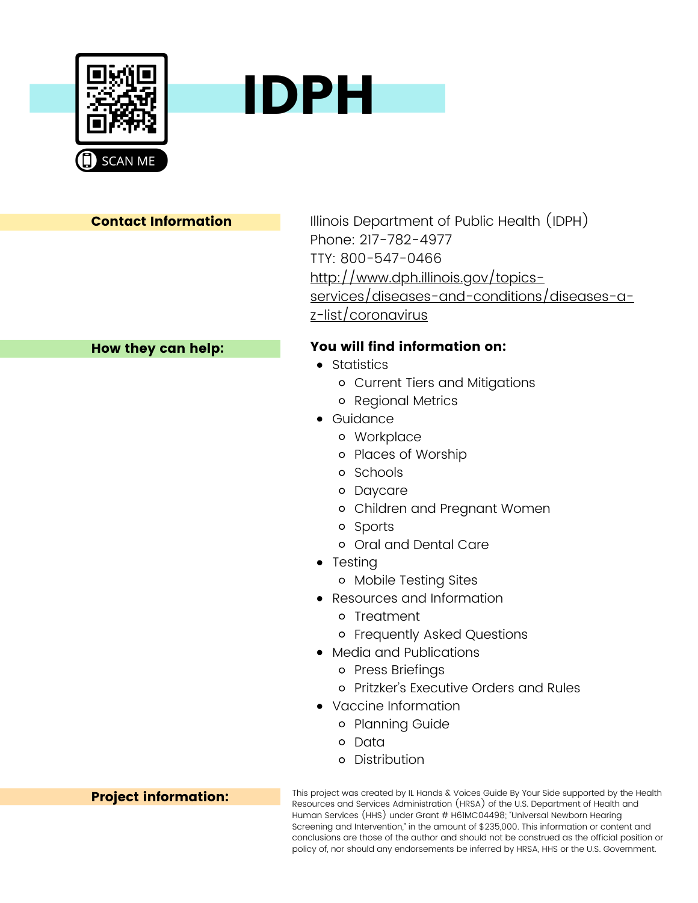



Illinois Department of Public Health (IDPH) Phone: 217-782-4977 TTY: 800-547-0466 http://www.dph.illinois.gov/topics[services/diseases-and-conditions/diseases-a](http://www.dph.illinois.gov/topics-services/diseases-and-conditions/diseases-a-z-list/coronavirus)z-list/coronavirus

# You will find information on:

- **•** Statistics
	- Current Tiers and Mitigations
	- Regional Metrics
- Guidance
	- Workplace
	- Places of Worship
	- o Schools
	- Daycare
	- Children and Pregnant Women
	- Sports
	- Oral and Dental Care
- Testing
	- Mobile Testing Sites
- Resources and Information
	- o Treatment
	- Frequently Asked Questions
- Media and Publications
	- Press Briefings
	- Pritzker's Executive Orders and Rules
- Vaccine Information
	- o Planning Guide
	- o Data
	- Distribution

This project was created by IL Hands & Voices Guide By Your Side supported by the Health Resources and Services Administration (HRSA) of the U.S. Department of Health and Human Services (HHS) under Grant # H61MC04498; "Universal Newborn Hearing Screening and Intervention," in the amount of \$235,000. This information or content and conclusions are those of the author and should not be construed as the official position or policy of, nor should any endorsements be inferred by HRSA, HHS or the U.S. Government.

## How they can help: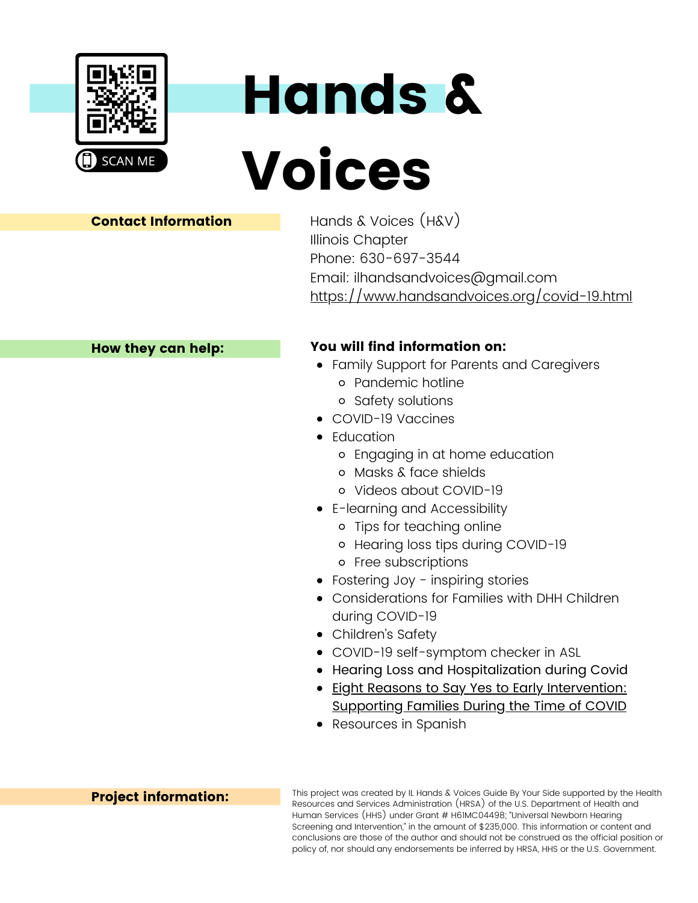

# Hands & Voices

## Contact Information

Hands & Voices (H&V) Illinois Chapter Phone: 630-697-3544 Email: ilhandsandvoices@gmail.com <https://www.handsandvoices.org/covid-19.html>

#### How they can help:

# You will find information on:

- Family Support for Parents and Caregivers
	- Pandemic hotline
	- o Safety solutions
- COVID-19 Vaccines
- Education
	- Engaging in at home education
	- Masks & face shields
	- Videos about COVID-19
- E-learning and Accessibility
	- Tips for teaching online
	- o Hearing loss tips during COVID-19
	- Free subscriptions
- Fostering Joy inspiring stories
- [Considerations](https://www.handsandvoices.org/pdf/covid-19/COVID-19%20Final.pdf) for Families with DHH Children during COVID-19
- Children's Safety
- COVID-19 [self-symptom](https://karaselfcheck.com/) checker in ASL
- Hearing Loss and [Hospitalization](https://www.chadruffinmd.com/events/2020/4/6/covid-19-hearing-loss-amp-hospitalization) during Covid
- **Eight Reasons to Say Yes to Early [Intervention:](https://vimeo.com/476881383)** Supporting Families During the Time of COVID
- Resources in Spanish

## Project information:

This project was created by IL Hands & Voices Guide By Your Side supported by the Health Resources and Services Administration (HRSA) of the U.S. Department of Health and Human Services (HHS) under Grant # H61MC04498; "Universal Newborn Hearing Screening and Intervention," in the amount of \$235,000. This information or content and conclusions are those of the author and should not be construed as the official position or policy of, nor should any endorsements be inferred by HRSA, HHS or the U.S. Government.